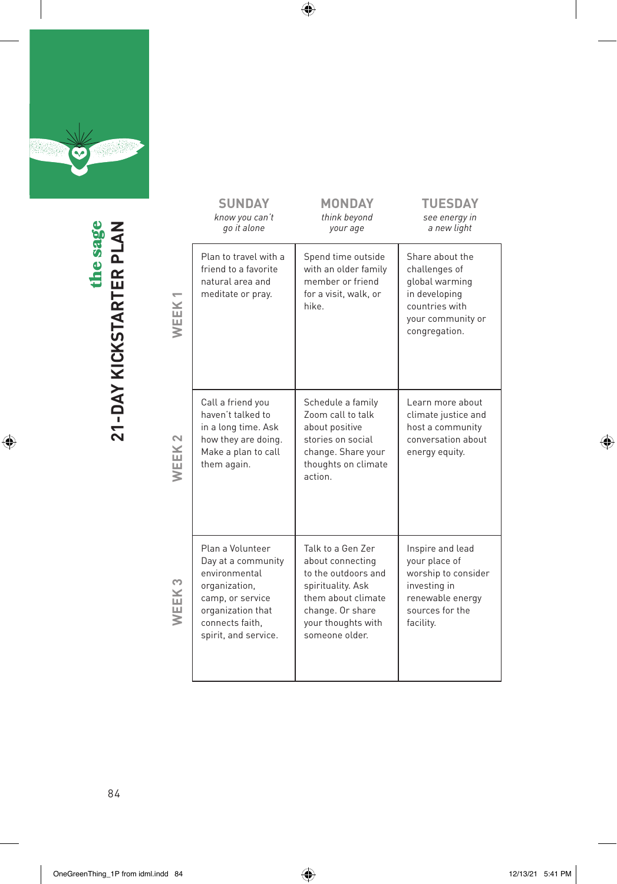

**2**<br>**21-DAY KICKSTARTER PLANNER**<br>PLANNER PLANNER the sage the sage **21-DAY KICKSTARTER PLAN**

 $\bigoplus$ 

| <b>SUNDAY</b><br>know you can't<br>go it alone                                                                                                               | <b>MONDAY</b><br>think beyond<br>your age                                                                                                                           | <b>TUESDAY</b><br>see energy in<br>a new light                                                                               |
|--------------------------------------------------------------------------------------------------------------------------------------------------------------|---------------------------------------------------------------------------------------------------------------------------------------------------------------------|------------------------------------------------------------------------------------------------------------------------------|
| Plan to travel with a<br>friend to a favorite<br>natural area and<br>meditate or pray.                                                                       | Spend time outside<br>with an older family<br>member or friend<br>for a visit, walk, or<br>hike.                                                                    | Share about the<br>challenges of<br>global warming<br>in developing<br>countries with<br>your community or<br>congregation.  |
| Call a friend you<br>haven't talked to<br>in a long time. Ask<br>how they are doing.<br>Make a plan to call<br>them again.                                   | Schedule a family<br>Zoom call to talk<br>about positive<br>stories on social<br>change. Share your<br>thoughts on climate<br>action.                               | Learn more about<br>climate justice and<br>host a community<br>conversation about<br>energy equity.                          |
| Plan a Volunteer<br>Day at a community<br>environmental<br>organization,<br>camp, or service<br>organization that<br>connects faith.<br>spirit, and service. | Talk to a Gen Zer<br>about connecting<br>to the outdoors and<br>spirituality. Ask<br>them about climate<br>change. Or share<br>your thoughts with<br>someone older. | Inspire and lead<br>your place of<br>worship to consider<br>investing in<br>renewable energy<br>sources for the<br>facility. |

 $\bigoplus$ 

**WEEK 2**

**WEEK 3**

84

 $\bigoplus$ how our food is